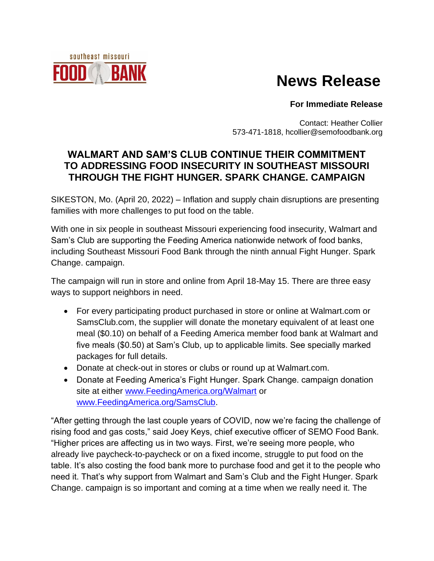## southeast missouri BAN

# **News Release**

#### **For Immediate Release**

Contact: Heather Collier 573-471-1818, hcollier@semofoodbank.org

### **WALMART AND SAM'S CLUB CONTINUE THEIR COMMITMENT TO ADDRESSING FOOD INSECURITY IN SOUTHEAST MISSOURI THROUGH THE FIGHT HUNGER. SPARK CHANGE. CAMPAIGN**

SIKESTON, Mo. (April 20, 2022) – Inflation and supply chain disruptions are presenting families with more challenges to put food on the table.

With one in six people in southeast Missouri experiencing food insecurity, Walmart and Sam's Club are supporting the Feeding America nationwide network of food banks, including Southeast Missouri Food Bank through the ninth annual Fight Hunger. Spark Change. campaign.

The campaign will run in store and online from April 18-May 15. There are three easy ways to support neighbors in need.

- For every participating product purchased in store or online at Walmart.com or SamsClub.com, the supplier will donate the monetary equivalent of at least one meal (\$0.10) on behalf of a Feeding America member food bank at Walmart and five meals (\$0.50) at Sam's Club, up to applicable limits. See specially marked packages for full details.
- Donate at check-out in stores or clubs or round up at Walmart.com.
- Donate at Feeding America's Fight Hunger. Spark Change. campaign donation site at either [www.FeedingAmerica.org/Walmart](http://www.feedingamerica.org/Walmart) or [www.FeedingAmerica.org/SamsClub.](http://www.feedingamerica.org/SamsClub)

"After getting through the last couple years of COVID, now we're facing the challenge of rising food and gas costs," said Joey Keys, chief executive officer of SEMO Food Bank. "Higher prices are affecting us in two ways. First, we're seeing more people, who already live paycheck-to-paycheck or on a fixed income, struggle to put food on the table. It's also costing the food bank more to purchase food and get it to the people who need it. That's why support from Walmart and Sam's Club and the Fight Hunger. Spark Change. campaign is so important and coming at a time when we really need it. The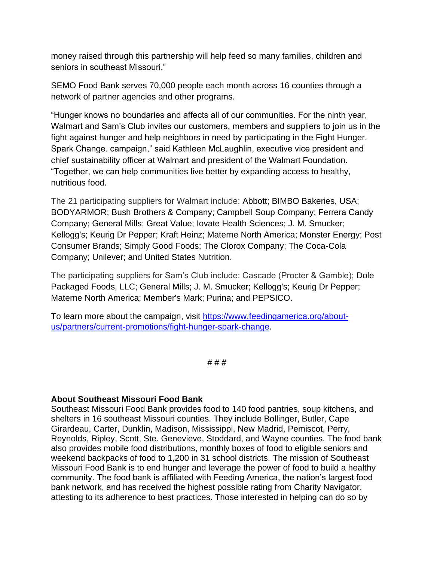money raised through this partnership will help feed so many families, children and seniors in southeast Missouri."

SEMO Food Bank serves 70,000 people each month across 16 counties through a network of partner agencies and other programs.

"Hunger knows no boundaries and affects all of our communities. For the ninth year, Walmart and Sam's Club invites our customers, members and suppliers to join us in the fight against hunger and help neighbors in need by participating in the Fight Hunger. Spark Change. campaign," said Kathleen McLaughlin, executive vice president and chief sustainability officer at Walmart and president of the Walmart Foundation. "Together, we can help communities live better by expanding access to healthy, nutritious food.

The 21 participating suppliers for Walmart include: Abbott; BIMBO Bakeries, USA; BODYARMOR; Bush Brothers & Company; Campbell Soup Company; Ferrera Candy Company; General Mills; Great Value; Iovate Health Sciences; J. M. Smucker; Kellogg's; Keurig Dr Pepper; Kraft Heinz; Materne North America; Monster Energy; Post Consumer Brands; Simply Good Foods; The Clorox Company; The Coca-Cola Company; Unilever; and United States Nutrition.

The participating suppliers for Sam's Club include: Cascade (Procter & Gamble); Dole Packaged Foods, LLC; General Mills; J. M. Smucker; Kellogg's; Keurig Dr Pepper; Materne North America; Member's Mark; Purina; and PEPSICO.

To learn more about the campaign, visit [https://www.feedingamerica.org/about](https://www.feedingamerica.org/about-us/partners/current-promotions/fight-hunger-spark-change)[us/partners/current-promotions/fight-hunger-spark-change.](https://www.feedingamerica.org/about-us/partners/current-promotions/fight-hunger-spark-change)

# # #

#### **About Southeast Missouri Food Bank**

Southeast Missouri Food Bank provides food to 140 food pantries, soup kitchens, and shelters in 16 southeast Missouri counties. They include Bollinger, Butler, Cape Girardeau, Carter, Dunklin, Madison, Mississippi, New Madrid, Pemiscot, Perry, Reynolds, Ripley, Scott, Ste. Genevieve, Stoddard, and Wayne counties. The food bank also provides mobile food distributions, monthly boxes of food to eligible seniors and weekend backpacks of food to 1,200 in 31 school districts. The mission of Southeast Missouri Food Bank is to end hunger and leverage the power of food to build a healthy community. The food bank is affiliated with Feeding America, the nation's largest food bank network, and has received the highest possible rating from Charity Navigator, attesting to its adherence to best practices. Those interested in helping can do so by